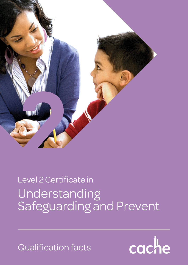

# Understanding Safeguarding and Prevent Level 2 Certificate in

Qualification facts